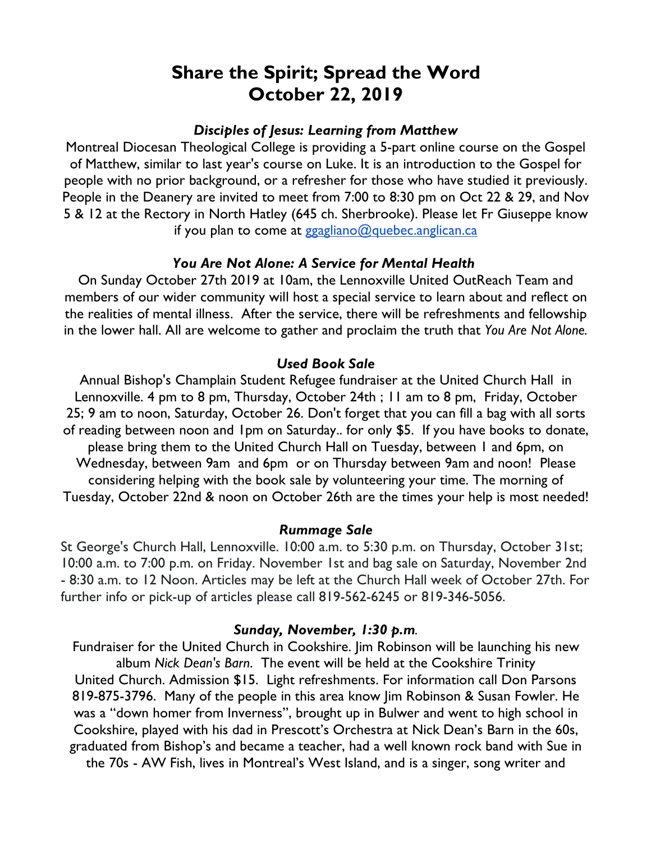# **Share the Spirit; Spread the Word October 22, 2019**

## *Disciples of Jesus: Learning from Matthew*

Montreal Diocesan Theological College is providing a 5-part online course on the Gospel of Matthew, similar to last year's course on Luke. It is an introduction to the Gospel for people with no prior background, or a refresher for those who have studied it previously. People in the Deanery are invited to meet from 7:00 to 8:30 pm on Oct 22 & 29, and Nov 5 & 12 at the Rectory in North Hatley (645 ch. Sherbrooke). Please let Fr Giuseppe know if you plan to come at ggagliano@quebec.anglican.ca

## *You Are Not Alone: A Service for Mental Health*

On Sunday October 27th 2019 at 10am, the Lennoxville United OutReach Team and members of our wider community will host a special service to learn about and reflect on the realities of mental illness. After the service, there will be refreshments and fellowship in the lower hall. All are welcome to gather and proclaim the truth that *You Are Not Alone.*

## *Used Book Sale*

Annual Bishop's Champlain Student Refugee fundraiser at the United Church Hall in Lennoxville. 4 pm to 8 pm, Thursday, October 24th ; 11 am to 8 pm, Friday, October 25; 9 am to noon, Saturday, October 26. Don't forget that you can fill a bag with all sorts of reading between noon and 1pm on Saturday.. for only \$5. If you have books to donate, please bring them to the United Church Hall on Tuesday, between 1 and 6pm, on Wednesday, between 9am and 6pm or on Thursday between 9am and noon! Please considering helping with the book sale by volunteering your time. The morning of Tuesday, October 22nd & noon on October 26th are the times your help is most needed!

#### *Rummage Sale*

St George's Church Hall, Lennoxville. 10:00 a.m. to 5:30 p.m. on Thursday, October 31st; 10:00 a.m. to 7:00 p.m. on Friday. November 1st and bag sale on Saturday, November 2nd - 8:30 a.m. to 12 Noon. Articles may be left at the Church Hall week of October 27th. For further info or pick-up of articles please call 819-562-6245 or 819-346-5056.

#### *Sunday, November, 1:30 p.m.*

Fundraiser for the United Church in Cookshire. Jim Robinson will be launching his new album *Nick Dean's Barn*. The event will be held at the Cookshire Trinity United Church. Admission \$15. Light refreshments. For information call Don Parsons 819-875-3796. Many of the people in this area know Jim Robinson & Susan Fowler. He was a "down homer from Inverness", brought up in Bulwer and went to high school in Cookshire, played with his dad in Prescott's Orchestra at Nick Dean's Barn in the 60s, graduated from Bishop's and became a teacher, had a well known rock band with Sue in the 70s - AW Fish, lives in Montreal's West Island, and is a singer, song writer and